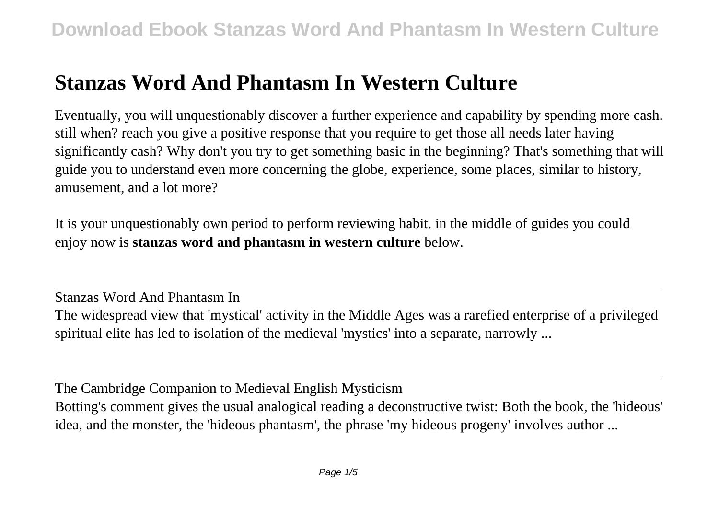## **Stanzas Word And Phantasm In Western Culture**

Eventually, you will unquestionably discover a further experience and capability by spending more cash. still when? reach you give a positive response that you require to get those all needs later having significantly cash? Why don't you try to get something basic in the beginning? That's something that will guide you to understand even more concerning the globe, experience, some places, similar to history, amusement, and a lot more?

It is your unquestionably own period to perform reviewing habit. in the middle of guides you could enjoy now is **stanzas word and phantasm in western culture** below.

Stanzas Word And Phantasm In The widespread view that 'mystical' activity in the Middle Ages was a rarefied enterprise of a privileged spiritual elite has led to isolation of the medieval 'mystics' into a separate, narrowly ...

The Cambridge Companion to Medieval English Mysticism Botting's comment gives the usual analogical reading a deconstructive twist: Both the book, the 'hideous' idea, and the monster, the 'hideous phantasm', the phrase 'my hideous progeny' involves author ...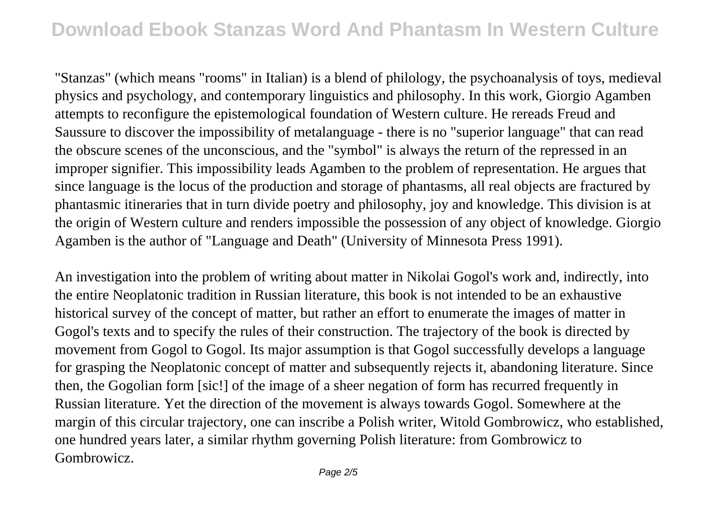"Stanzas" (which means "rooms" in Italian) is a blend of philology, the psychoanalysis of toys, medieval physics and psychology, and contemporary linguistics and philosophy. In this work, Giorgio Agamben attempts to reconfigure the epistemological foundation of Western culture. He rereads Freud and Saussure to discover the impossibility of metalanguage - there is no "superior language" that can read the obscure scenes of the unconscious, and the "symbol" is always the return of the repressed in an improper signifier. This impossibility leads Agamben to the problem of representation. He argues that since language is the locus of the production and storage of phantasms, all real objects are fractured by phantasmic itineraries that in turn divide poetry and philosophy, joy and knowledge. This division is at the origin of Western culture and renders impossible the possession of any object of knowledge. Giorgio Agamben is the author of "Language and Death" (University of Minnesota Press 1991).

An investigation into the problem of writing about matter in Nikolai Gogol's work and, indirectly, into the entire Neoplatonic tradition in Russian literature, this book is not intended to be an exhaustive historical survey of the concept of matter, but rather an effort to enumerate the images of matter in Gogol's texts and to specify the rules of their construction. The trajectory of the book is directed by movement from Gogol to Gogol. Its major assumption is that Gogol successfully develops a language for grasping the Neoplatonic concept of matter and subsequently rejects it, abandoning literature. Since then, the Gogolian form [sic!] of the image of a sheer negation of form has recurred frequently in Russian literature. Yet the direction of the movement is always towards Gogol. Somewhere at the margin of this circular trajectory, one can inscribe a Polish writer, Witold Gombrowicz, who established, one hundred years later, a similar rhythm governing Polish literature: from Gombrowicz to Gombrowicz.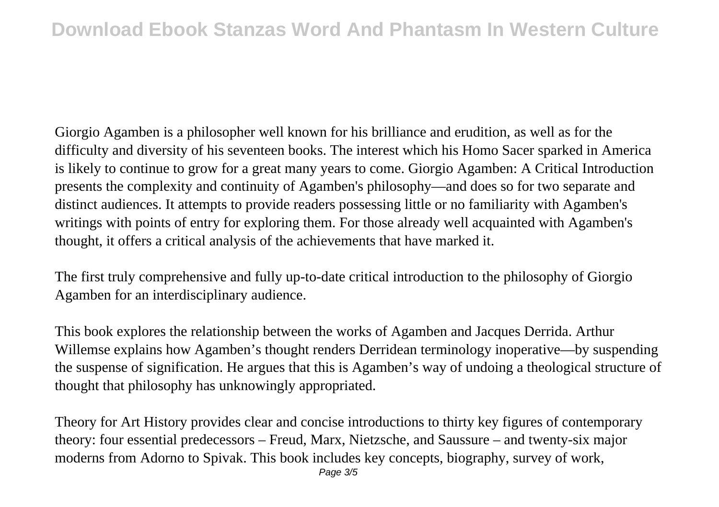Giorgio Agamben is a philosopher well known for his brilliance and erudition, as well as for the difficulty and diversity of his seventeen books. The interest which his Homo Sacer sparked in America is likely to continue to grow for a great many years to come. Giorgio Agamben: A Critical Introduction presents the complexity and continuity of Agamben's philosophy—and does so for two separate and distinct audiences. It attempts to provide readers possessing little or no familiarity with Agamben's writings with points of entry for exploring them. For those already well acquainted with Agamben's thought, it offers a critical analysis of the achievements that have marked it.

The first truly comprehensive and fully up-to-date critical introduction to the philosophy of Giorgio Agamben for an interdisciplinary audience.

This book explores the relationship between the works of Agamben and Jacques Derrida. Arthur Willemse explains how Agamben's thought renders Derridean terminology inoperative—by suspending the suspense of signification. He argues that this is Agamben's way of undoing a theological structure of thought that philosophy has unknowingly appropriated.

Theory for Art History provides clear and concise introductions to thirty key figures of contemporary theory: four essential predecessors – Freud, Marx, Nietzsche, and Saussure – and twenty-six major moderns from Adorno to Spivak. This book includes key concepts, biography, survey of work,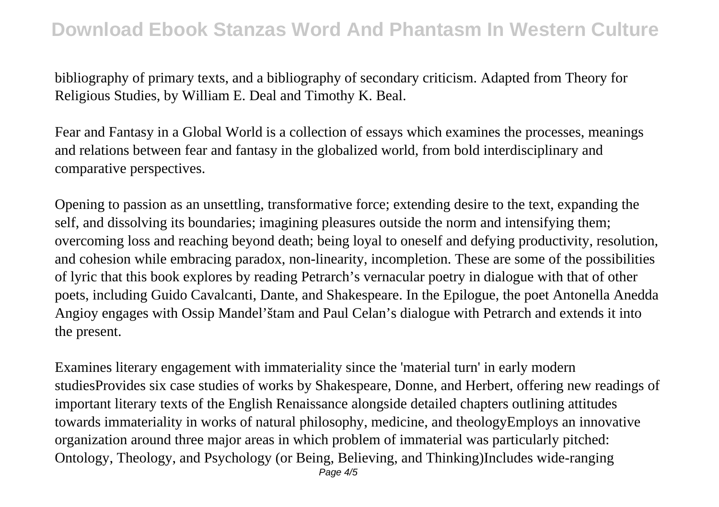## **Download Ebook Stanzas Word And Phantasm In Western Culture**

bibliography of primary texts, and a bibliography of secondary criticism. Adapted from Theory for Religious Studies, by William E. Deal and Timothy K. Beal.

Fear and Fantasy in a Global World is a collection of essays which examines the processes, meanings and relations between fear and fantasy in the globalized world, from bold interdisciplinary and comparative perspectives.

Opening to passion as an unsettling, transformative force; extending desire to the text, expanding the self, and dissolving its boundaries; imagining pleasures outside the norm and intensifying them; overcoming loss and reaching beyond death; being loyal to oneself and defying productivity, resolution, and cohesion while embracing paradox, non-linearity, incompletion. These are some of the possibilities of lyric that this book explores by reading Petrarch's vernacular poetry in dialogue with that of other poets, including Guido Cavalcanti, Dante, and Shakespeare. In the Epilogue, the poet Antonella Anedda Angioy engages with Ossip Mandel'štam and Paul Celan's dialogue with Petrarch and extends it into the present.

Examines literary engagement with immateriality since the 'material turn' in early modern studiesProvides six case studies of works by Shakespeare, Donne, and Herbert, offering new readings of important literary texts of the English Renaissance alongside detailed chapters outlining attitudes towards immateriality in works of natural philosophy, medicine, and theologyEmploys an innovative organization around three major areas in which problem of immaterial was particularly pitched: Ontology, Theology, and Psychology (or Being, Believing, and Thinking)Includes wide-ranging